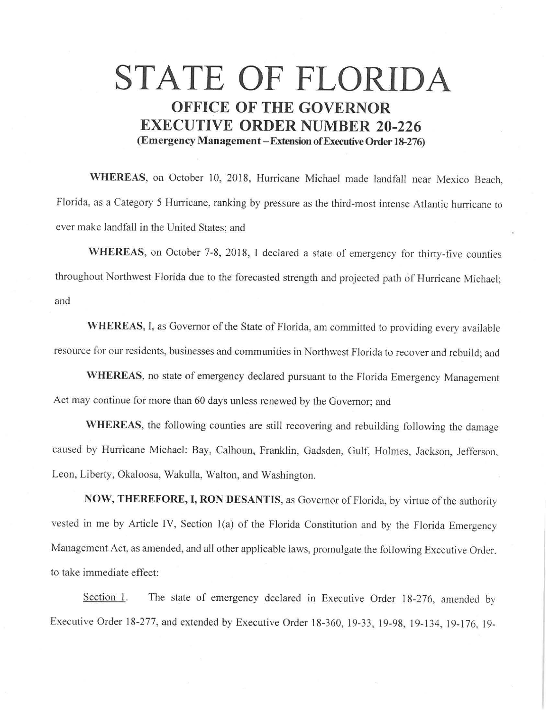## **STATE OF FLORIDA OFFICE OF THE GOVERNOR EXECUTIVE ORDER NUMBER 20-226 (Emergency Management-Extension ofExecutive Order 18-276)**

**WHEREAS,** on October 10, 2018, Hurricane Michael made landfall near Mexico Beach, Florida, as a Category 5 Hurricane, ranking by pressure as the third-most intense Atlantic hurricane to ever make landfall in the United States; and

WHEREAS, on October 7-8, 2018, I declared a state of emergency for thirty-five counties throughout Northwest Florida due to the forecasted strength and projected path of Hurricane Michael; and

**WHEREAS,** I, as Governor of the State of Florida, am committed to providing every available resource for our residents, businesses and communities in Northwest Florida to recover and rebuild; and

**WHEREAS,** no state of emergency declared pursuant to the Florida Emergency Management Act may continue for more than 60 days unless renewed by the Governor; and

**WHEREAS,** the following counties are still recovering and rebuilding following the damage caused by Hurricane Michael: Bay, Calhoun, Franklin, Gadsden, Gulf, Holmes, Jackson, Jefferson, Leon, Liberty, Okaloosa, Wakulla, Walton, and Washington.

**NOW, THEREFORE, I, RON DESANTIS,** as Governor of Florida, by virtue of the authority vested in me by Article IV, Section l(a) of the Florida Constitution and by the Florida Emergency Management Act, as amended, and all other applicable laws, promulgate the following Executive Order. to take immediate effect:

Section 1. The state of emergency declared in Executive Order 18-276, amended by Executive Order 18-277, and extended by Executive Order 18-360, 19-33, 19-98, 19-134, 19-176, 19